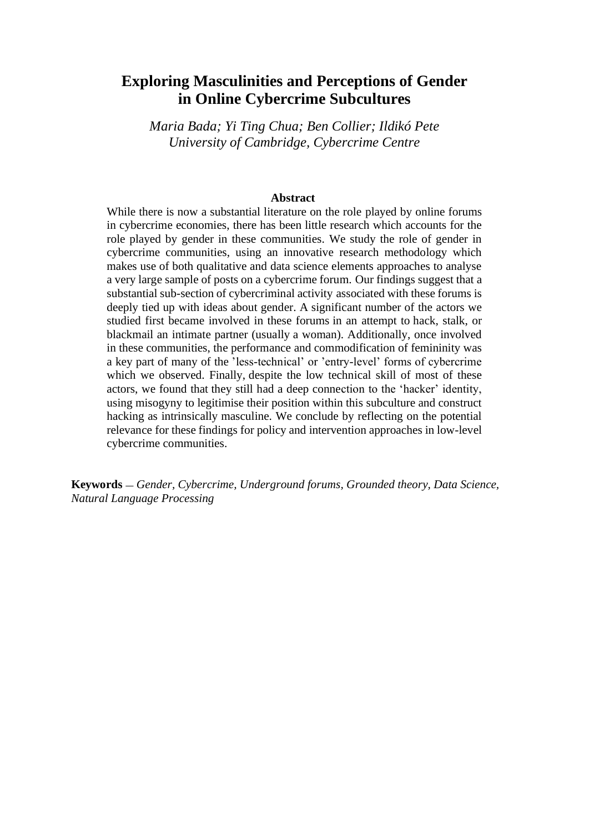# **Exploring Masculinities and Perceptions of Gender in Online Cybercrime Subcultures**

*Maria Bada; Yi Ting Chua; Ben Collier; Ildikó Pete University of Cambridge, Cybercrime Centre*

#### **Abstract**

While there is now a substantial literature on the role played by online forums in cybercrime economies, there has been little research which accounts for the role played by gender in these communities. We study the role of gender in cybercrime communities, using an innovative research methodology which makes use of both qualitative and data science elements approaches to analyse a very large sample of posts on a cybercrime forum. Our findings suggest that a substantial sub-section of cybercriminal activity associated with these forums is deeply tied up with ideas about gender. A significant number of the actors we studied first became involved in these forums in an attempt to hack, stalk, or blackmail an intimate partner (usually a woman). Additionally, once involved in these communities, the performance and commodification of femininity was a key part of many of the 'less-technical' or 'entry-level' forms of cybercrime which we observed. Finally, despite the low technical skill of most of these actors, we found that they still had a deep connection to the 'hacker' identity, using misogyny to legitimise their position within this subculture and construct hacking as intrinsically masculine. We conclude by reflecting on the potential relevance for these findings for policy and intervention approaches in low-level cybercrime communities.

**Keywords** — *Gender, Cybercrime, Underground forums, Grounded theory, Data Science, Natural Language Processing*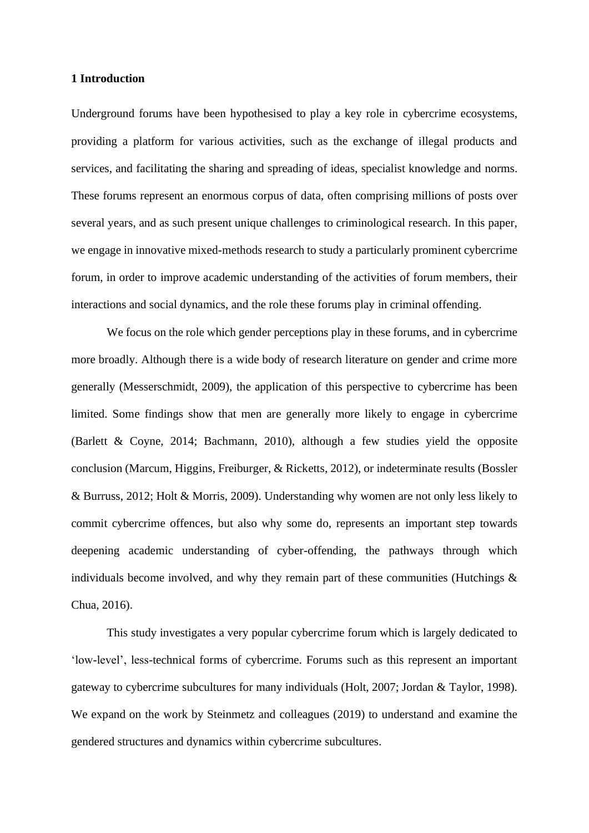## **1 Introduction**

Underground forums have been hypothesised to play a key role in cybercrime ecosystems, providing a platform for various activities, such as the exchange of illegal products and services, and facilitating the sharing and spreading of ideas, specialist knowledge and norms. These forums represent an enormous corpus of data, often comprising millions of posts over several years, and as such present unique challenges to criminological research. In this paper, we engage in innovative mixed-methods research to study a particularly prominent cybercrime forum, in order to improve academic understanding of the activities of forum members, their interactions and social dynamics, and the role these forums play in criminal offending.

We focus on the role which gender perceptions play in these forums, and in cybercrime more broadly. Although there is a wide body of research literature on gender and crime more generally (Messerschmidt, 2009), the application of this perspective to cybercrime has been limited. Some findings show that men are generally more likely to engage in cybercrime (Barlett & Coyne, 2014; Bachmann, 2010), although a few studies yield the opposite conclusion (Marcum, Higgins, Freiburger, & Ricketts, 2012), or indeterminate results (Bossler & Burruss, 2012; Holt & Morris, 2009). Understanding why women are not only less likely to commit cybercrime offences, but also why some do, represents an important step towards deepening academic understanding of cyber-offending, the pathways through which individuals become involved, and why they remain part of these communities (Hutchings  $\&$ Chua, 2016).

This study investigates a very popular cybercrime forum which is largely dedicated to 'low-level', less-technical forms of cybercrime. Forums such as this represent an important gateway to cybercrime subcultures for many individuals (Holt, 2007; Jordan & Taylor, 1998). We expand on the work by Steinmetz and colleagues (2019) to understand and examine the gendered structures and dynamics within cybercrime subcultures.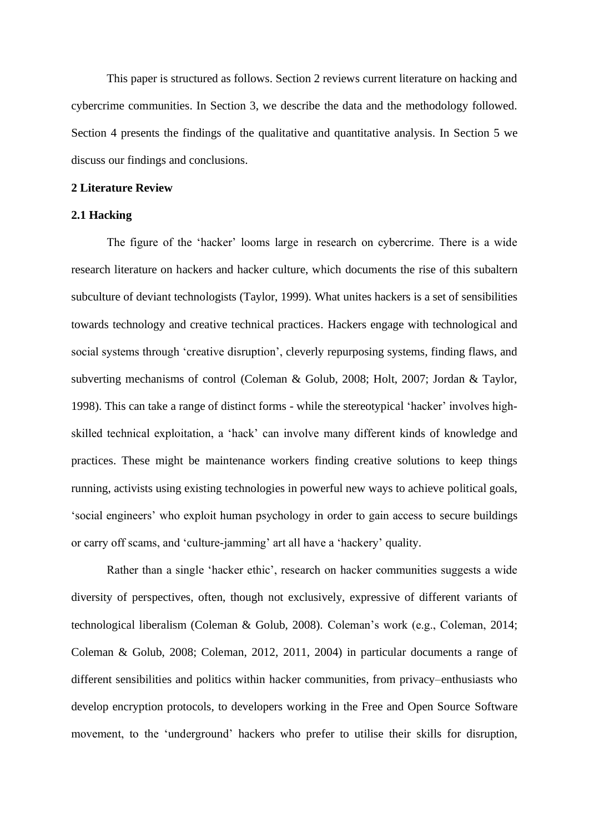This paper is structured as follows. Section 2 reviews current literature on hacking and cybercrime communities. In Section 3, we describe the data and the methodology followed. Section 4 presents the findings of the qualitative and quantitative analysis. In Section 5 we discuss our findings and conclusions.

#### **2 Literature Review**

## **2.1 Hacking**

The figure of the 'hacker' looms large in research on cybercrime. There is a wide research literature on hackers and hacker culture, which documents the rise of this subaltern subculture of deviant technologists (Taylor, 1999). What unites hackers is a set of sensibilities towards technology and creative technical practices. Hackers engage with technological and social systems through 'creative disruption', cleverly repurposing systems, finding flaws, and subverting mechanisms of control (Coleman & Golub, 2008; Holt, 2007; Jordan & Taylor, 1998). This can take a range of distinct forms - while the stereotypical 'hacker' involves highskilled technical exploitation, a 'hack' can involve many different kinds of knowledge and practices. These might be maintenance workers finding creative solutions to keep things running, activists using existing technologies in powerful new ways to achieve political goals, 'social engineers' who exploit human psychology in order to gain access to secure buildings or carry off scams, and 'culture-jamming' art all have a 'hackery' quality.

Rather than a single 'hacker ethic', research on hacker communities suggests a wide diversity of perspectives, often, though not exclusively, expressive of different variants of technological liberalism (Coleman & Golub, 2008). Coleman's work (e.g., Coleman, 2014; Coleman & Golub, 2008; Coleman, 2012, 2011, 2004) in particular documents a range of different sensibilities and politics within hacker communities, from privacy–enthusiasts who develop encryption protocols, to developers working in the Free and Open Source Software movement, to the 'underground' hackers who prefer to utilise their skills for disruption,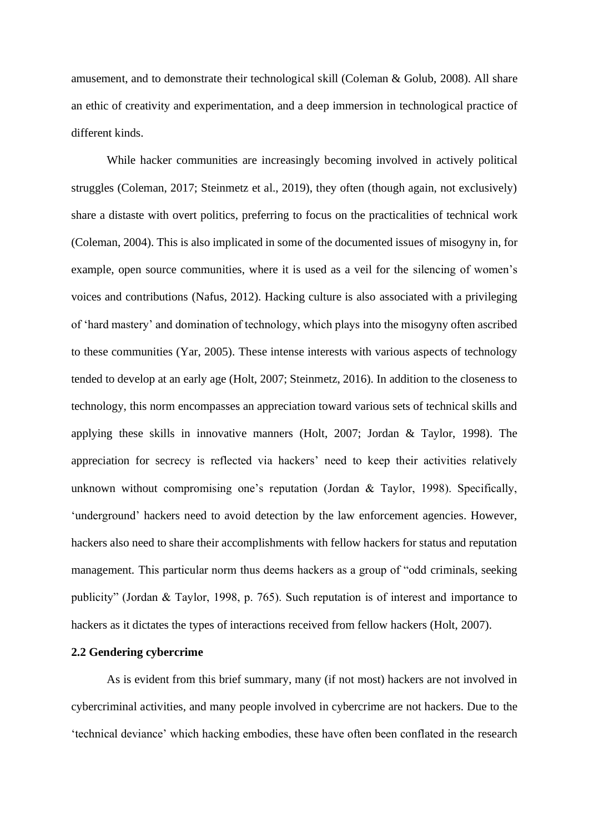amusement, and to demonstrate their technological skill (Coleman & Golub, 2008). All share an ethic of creativity and experimentation, and a deep immersion in technological practice of different kinds.

While hacker communities are increasingly becoming involved in actively political struggles (Coleman, 2017; Steinmetz et al., 2019), they often (though again, not exclusively) share a distaste with overt politics, preferring to focus on the practicalities of technical work (Coleman, 2004). This is also implicated in some of the documented issues of misogyny in, for example, open source communities, where it is used as a veil for the silencing of women's voices and contributions (Nafus, 2012). Hacking culture is also associated with a privileging of 'hard mastery' and domination of technology, which plays into the misogyny often ascribed to these communities (Yar, 2005). These intense interests with various aspects of technology tended to develop at an early age (Holt, 2007; Steinmetz, 2016). In addition to the closeness to technology, this norm encompasses an appreciation toward various sets of technical skills and applying these skills in innovative manners (Holt, 2007; Jordan & Taylor, 1998). The appreciation for secrecy is reflected via hackers' need to keep their activities relatively unknown without compromising one's reputation (Jordan & Taylor, 1998). Specifically, 'underground' hackers need to avoid detection by the law enforcement agencies. However, hackers also need to share their accomplishments with fellow hackers for status and reputation management. This particular norm thus deems hackers as a group of "odd criminals, seeking publicity" (Jordan & Taylor, 1998, p. 765). Such reputation is of interest and importance to hackers as it dictates the types of interactions received from fellow hackers (Holt, 2007).

#### **2.2 Gendering cybercrime**

As is evident from this brief summary, many (if not most) hackers are not involved in cybercriminal activities, and many people involved in cybercrime are not hackers. Due to the 'technical deviance' which hacking embodies, these have often been conflated in the research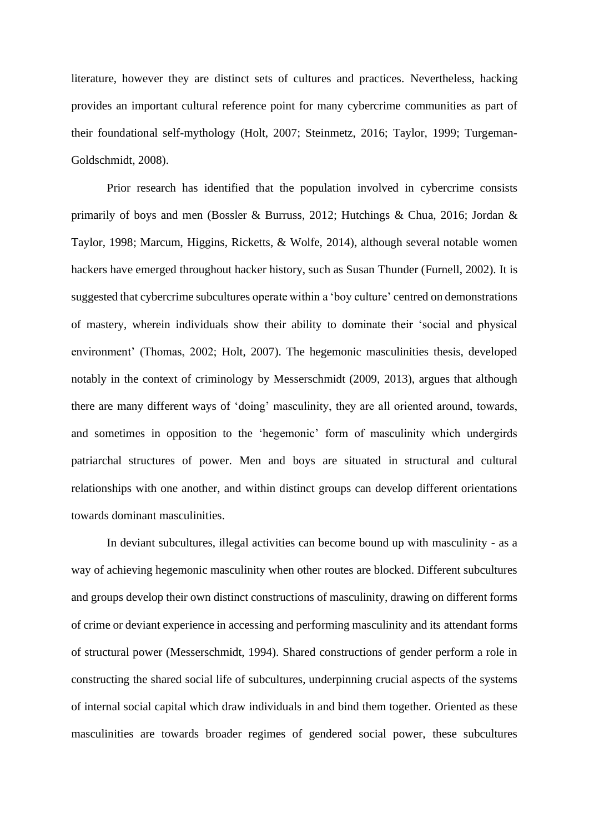literature, however they are distinct sets of cultures and practices. Nevertheless, hacking provides an important cultural reference point for many cybercrime communities as part of their foundational self-mythology (Holt, 2007; Steinmetz, 2016; Taylor, 1999; Turgeman-Goldschmidt, 2008).

Prior research has identified that the population involved in cybercrime consists primarily of boys and men (Bossler & Burruss, 2012; Hutchings & Chua, 2016; Jordan & Taylor, 1998; Marcum, Higgins, Ricketts, & Wolfe, 2014), although several notable women hackers have emerged throughout hacker history, such as Susan Thunder (Furnell, 2002). It is suggested that cybercrime subcultures operate within a 'boy culture' centred on demonstrations of mastery, wherein individuals show their ability to dominate their 'social and physical environment' (Thomas, 2002; Holt, 2007). The hegemonic masculinities thesis, developed notably in the context of criminology by Messerschmidt (2009, 2013), argues that although there are many different ways of 'doing' masculinity, they are all oriented around, towards, and sometimes in opposition to the 'hegemonic' form of masculinity which undergirds patriarchal structures of power. Men and boys are situated in structural and cultural relationships with one another, and within distinct groups can develop different orientations towards dominant masculinities.

In deviant subcultures, illegal activities can become bound up with masculinity - as a way of achieving hegemonic masculinity when other routes are blocked. Different subcultures and groups develop their own distinct constructions of masculinity, drawing on different forms of crime or deviant experience in accessing and performing masculinity and its attendant forms of structural power (Messerschmidt, 1994). Shared constructions of gender perform a role in constructing the shared social life of subcultures, underpinning crucial aspects of the systems of internal social capital which draw individuals in and bind them together. Oriented as these masculinities are towards broader regimes of gendered social power, these subcultures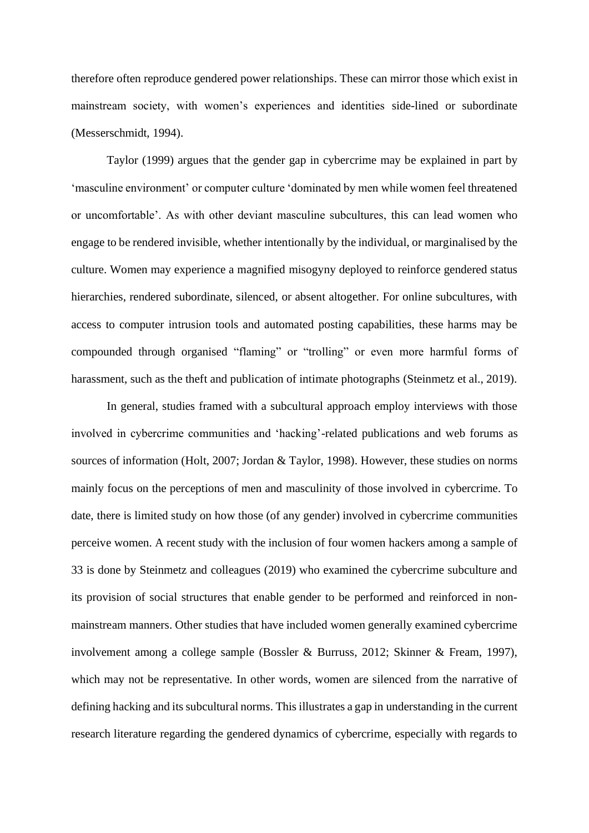therefore often reproduce gendered power relationships. These can mirror those which exist in mainstream society, with women's experiences and identities side-lined or subordinate (Messerschmidt, 1994).

Taylor (1999) argues that the gender gap in cybercrime may be explained in part by 'masculine environment' or computer culture 'dominated by men while women feel threatened or uncomfortable'. As with other deviant masculine subcultures, this can lead women who engage to be rendered invisible, whether intentionally by the individual, or marginalised by the culture. Women may experience a magnified misogyny deployed to reinforce gendered status hierarchies, rendered subordinate, silenced, or absent altogether. For online subcultures, with access to computer intrusion tools and automated posting capabilities, these harms may be compounded through organised "flaming" or "trolling" or even more harmful forms of harassment, such as the theft and publication of intimate photographs (Steinmetz et al., 2019).

In general, studies framed with a subcultural approach employ interviews with those involved in cybercrime communities and 'hacking'-related publications and web forums as sources of information (Holt, 2007; Jordan & Taylor, 1998). However, these studies on norms mainly focus on the perceptions of men and masculinity of those involved in cybercrime. To date, there is limited study on how those (of any gender) involved in cybercrime communities perceive women. A recent study with the inclusion of four women hackers among a sample of 33 is done by Steinmetz and colleagues (2019) who examined the cybercrime subculture and its provision of social structures that enable gender to be performed and reinforced in nonmainstream manners. Other studies that have included women generally examined cybercrime involvement among a college sample (Bossler & Burruss, 2012; Skinner & Fream, 1997), which may not be representative. In other words, women are silenced from the narrative of defining hacking and its subcultural norms. This illustrates a gap in understanding in the current research literature regarding the gendered dynamics of cybercrime, especially with regards to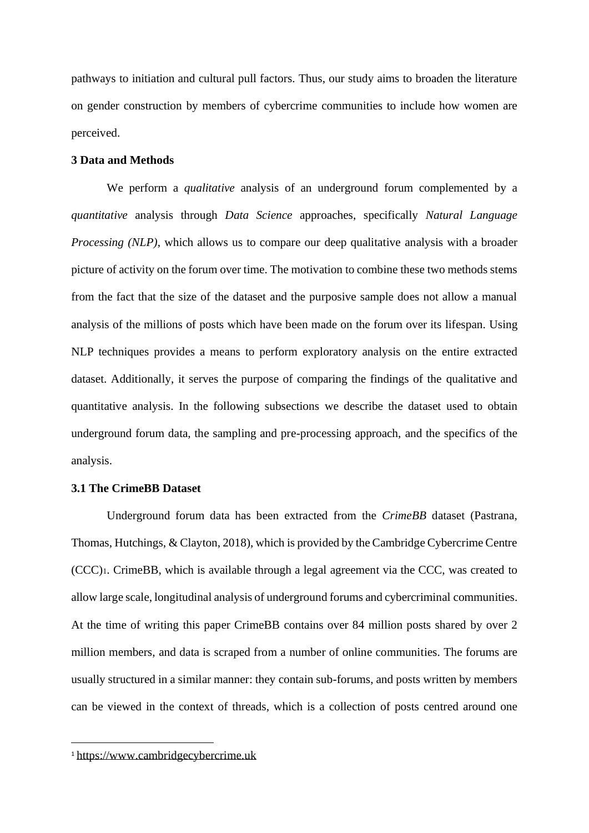pathways to initiation and cultural pull factors. Thus, our study aims to broaden the literature on gender construction by members of cybercrime communities to include how women are perceived.

## **3 Data and Methods**

We perform a *qualitative* analysis of an underground forum complemented by a *quantitative* analysis through *Data Science* approaches, specifically *Natural Language Processing (NLP)*, which allows us to compare our deep qualitative analysis with a broader picture of activity on the forum over time. The motivation to combine these two methods stems from the fact that the size of the dataset and the purposive sample does not allow a manual analysis of the millions of posts which have been made on the forum over its lifespan. Using NLP techniques provides a means to perform exploratory analysis on the entire extracted dataset. Additionally, it serves the purpose of comparing the findings of the qualitative and quantitative analysis. In the following subsections we describe the dataset used to obtain underground forum data, the sampling and pre-processing approach, and the specifics of the analysis.

## **3.1 The CrimeBB Dataset**

Underground forum data has been extracted from the *CrimeBB* dataset (Pastrana, Thomas, Hutchings, & Clayton, 2018), which is provided by the Cambridge Cybercrime Centre (CCC)1. CrimeBB, which is available through a legal agreement via the CCC, was created to allow large scale, longitudinal analysis of underground forums and cybercriminal communities. At the time of writing this paper CrimeBB contains over 84 million posts shared by over 2 million members, and data is scraped from a number of online communities. The forums are usually structured in a similar manner: they contain sub-forums, and posts written by members can be viewed in the context of threads, which is a collection of posts centred around one

<sup>1</sup> [https://www.cambridgecybercrime.uk](https://www.cambridgecybercrime.uk/)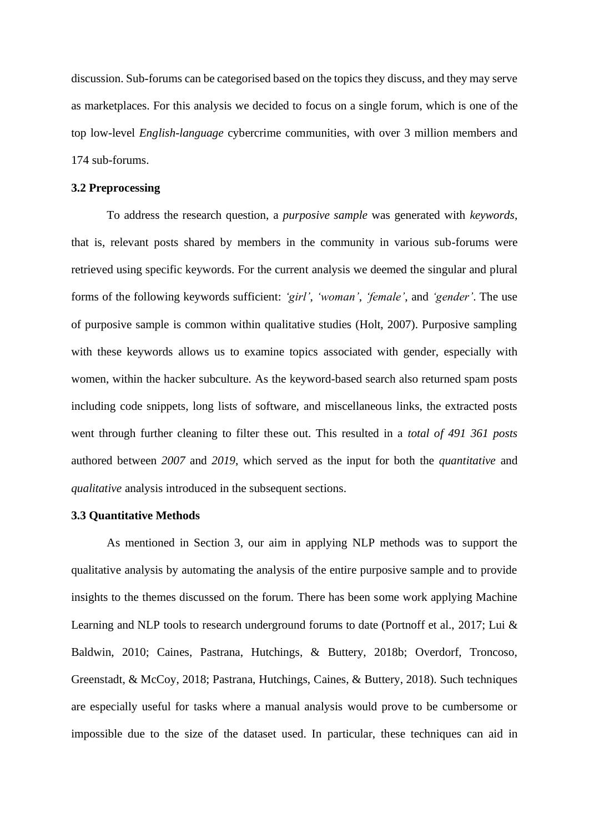discussion. Sub-forums can be categorised based on the topics they discuss, and they may serve as marketplaces. For this analysis we decided to focus on a single forum, which is one of the top low-level *English-language* cybercrime communities, with over 3 million members and 174 sub-forums.

#### **3.2 Preprocessing**

To address the research question, a *purposive sample* was generated with *keywords*, that is, relevant posts shared by members in the community in various sub-forums were retrieved using specific keywords. For the current analysis we deemed the singular and plural forms of the following keywords sufficient: *'girl'*, *'woman'*, *'female'*, and *'gender'*. The use of purposive sample is common within qualitative studies (Holt, 2007). Purposive sampling with these keywords allows us to examine topics associated with gender, especially with women, within the hacker subculture. As the keyword-based search also returned spam posts including code snippets, long lists of software, and miscellaneous links, the extracted posts went through further cleaning to filter these out. This resulted in a *total of 491 361 posts* authored between *2007* and *2019*, which served as the input for both the *quantitative* and *qualitative* analysis introduced in the subsequent sections.

### **3.3 Quantitative Methods**

As mentioned in Section 3, our aim in applying NLP methods was to support the qualitative analysis by automating the analysis of the entire purposive sample and to provide insights to the themes discussed on the forum. There has been some work applying Machine Learning and NLP tools to research underground forums to date (Portnoff et al., 2017; Lui & Baldwin, 2010; Caines, Pastrana, Hutchings, & Buttery, 2018b; Overdorf, Troncoso, Greenstadt, & McCoy, 2018; Pastrana, Hutchings, Caines, & Buttery, 2018). Such techniques are especially useful for tasks where a manual analysis would prove to be cumbersome or impossible due to the size of the dataset used. In particular, these techniques can aid in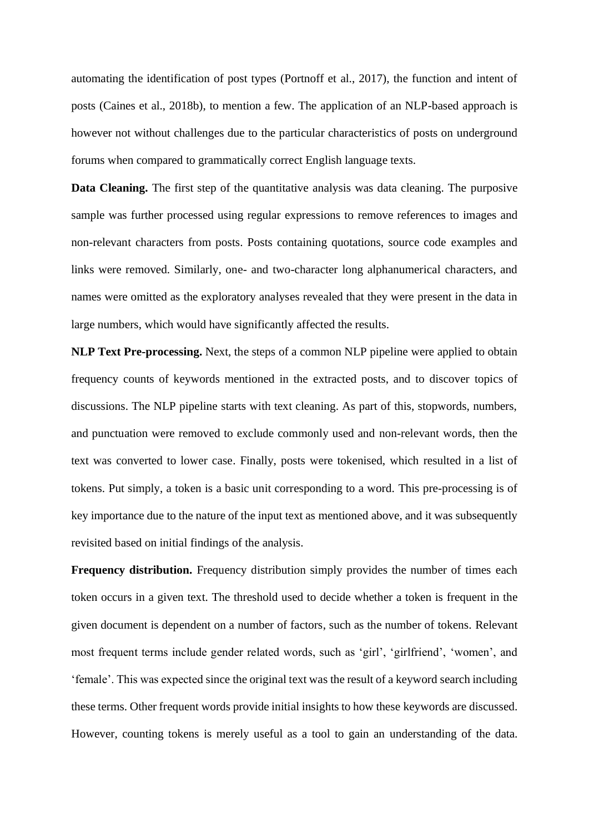automating the identification of post types (Portnoff et al., 2017), the function and intent of posts (Caines et al., 2018b), to mention a few. The application of an NLP-based approach is however not without challenges due to the particular characteristics of posts on underground forums when compared to grammatically correct English language texts.

**Data Cleaning.** The first step of the quantitative analysis was data cleaning. The purposive sample was further processed using regular expressions to remove references to images and non-relevant characters from posts. Posts containing quotations, source code examples and links were removed. Similarly, one- and two-character long alphanumerical characters, and names were omitted as the exploratory analyses revealed that they were present in the data in large numbers, which would have significantly affected the results.

**NLP Text Pre-processing.** Next, the steps of a common NLP pipeline were applied to obtain frequency counts of keywords mentioned in the extracted posts, and to discover topics of discussions. The NLP pipeline starts with text cleaning. As part of this, stopwords, numbers, and punctuation were removed to exclude commonly used and non-relevant words, then the text was converted to lower case. Finally, posts were tokenised, which resulted in a list of tokens. Put simply, a token is a basic unit corresponding to a word. This pre-processing is of key importance due to the nature of the input text as mentioned above, and it was subsequently revisited based on initial findings of the analysis.

**Frequency distribution.** Frequency distribution simply provides the number of times each token occurs in a given text. The threshold used to decide whether a token is frequent in the given document is dependent on a number of factors, such as the number of tokens. Relevant most frequent terms include gender related words, such as 'girl', 'girlfriend', 'women', and 'female'. This was expected since the original text was the result of a keyword search including these terms. Other frequent words provide initial insights to how these keywords are discussed. However, counting tokens is merely useful as a tool to gain an understanding of the data.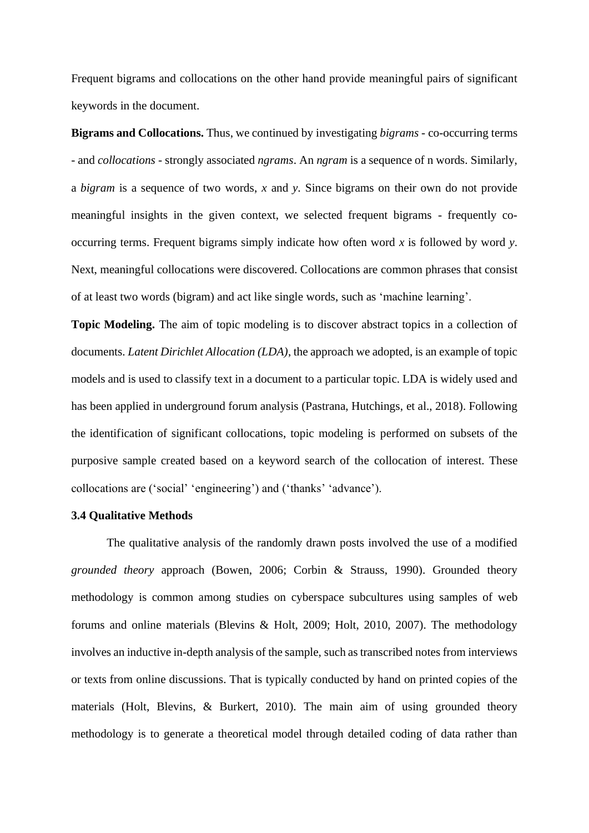Frequent bigrams and collocations on the other hand provide meaningful pairs of significant keywords in the document.

**Bigrams and Collocations.** Thus, we continued by investigating *bigrams* - co-occurring terms - and *collocations* - strongly associated *ngrams*. An *ngram* is a sequence of n words. Similarly, a *bigram* is a sequence of two words, *x* and *y*. Since bigrams on their own do not provide meaningful insights in the given context, we selected frequent bigrams - frequently cooccurring terms. Frequent bigrams simply indicate how often word *x* is followed by word *y*. Next, meaningful collocations were discovered. Collocations are common phrases that consist of at least two words (bigram) and act like single words, such as 'machine learning'.

**Topic Modeling.** The aim of topic modeling is to discover abstract topics in a collection of documents. *Latent Dirichlet Allocation (LDA)*, the approach we adopted, is an example of topic models and is used to classify text in a document to a particular topic. LDA is widely used and has been applied in underground forum analysis (Pastrana, Hutchings, et al., 2018). Following the identification of significant collocations, topic modeling is performed on subsets of the purposive sample created based on a keyword search of the collocation of interest. These collocations are ('social' 'engineering') and ('thanks' 'advance').

### **3.4 Qualitative Methods**

The qualitative analysis of the randomly drawn posts involved the use of a modified *grounded theory* approach (Bowen, 2006; Corbin & Strauss, 1990). Grounded theory methodology is common among studies on cyberspace subcultures using samples of web forums and online materials (Blevins & Holt, 2009; Holt, 2010, 2007). The methodology involves an inductive in-depth analysis of the sample, such as transcribed notes from interviews or texts from online discussions. That is typically conducted by hand on printed copies of the materials (Holt, Blevins, & Burkert, 2010). The main aim of using grounded theory methodology is to generate a theoretical model through detailed coding of data rather than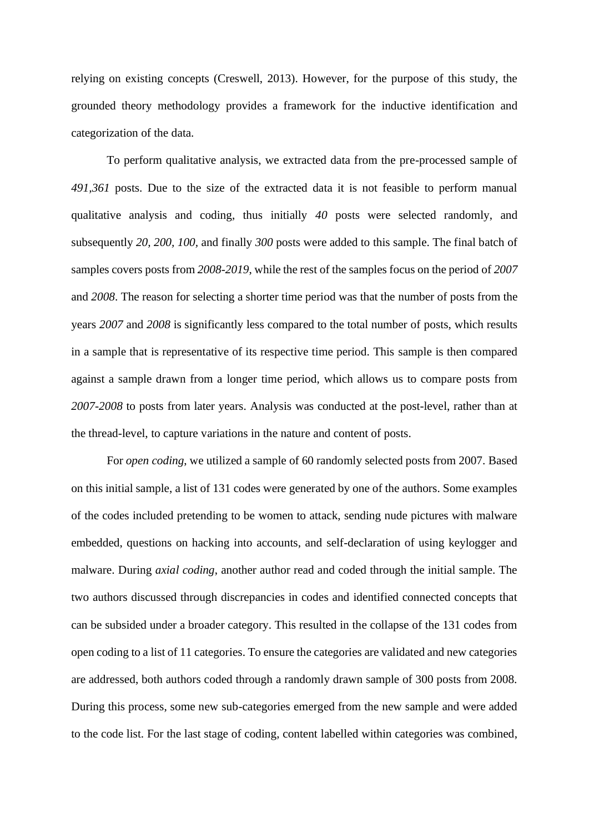relying on existing concepts (Creswell, 2013). However, for the purpose of this study, the grounded theory methodology provides a framework for the inductive identification and categorization of the data.

To perform qualitative analysis, we extracted data from the pre-processed sample of *491,361* posts. Due to the size of the extracted data it is not feasible to perform manual qualitative analysis and coding, thus initially *40* posts were selected randomly, and subsequently *20, 200, 100,* and finally *300* posts were added to this sample. The final batch of samples covers posts from *2008-2019*, while the rest of the samples focus on the period of *2007*  and *2008*. The reason for selecting a shorter time period was that the number of posts from the years *2007* and *2008* is significantly less compared to the total number of posts, which results in a sample that is representative of its respective time period. This sample is then compared against a sample drawn from a longer time period, which allows us to compare posts from *2007-2008* to posts from later years. Analysis was conducted at the post-level, rather than at the thread-level, to capture variations in the nature and content of posts.

For *open coding*, we utilized a sample of 60 randomly selected posts from 2007. Based on this initial sample, a list of 131 codes were generated by one of the authors. Some examples of the codes included pretending to be women to attack, sending nude pictures with malware embedded, questions on hacking into accounts, and self-declaration of using keylogger and malware. During *axial coding*, another author read and coded through the initial sample. The two authors discussed through discrepancies in codes and identified connected concepts that can be subsided under a broader category. This resulted in the collapse of the 131 codes from open coding to a list of 11 categories. To ensure the categories are validated and new categories are addressed, both authors coded through a randomly drawn sample of 300 posts from 2008. During this process, some new sub-categories emerged from the new sample and were added to the code list. For the last stage of coding, content labelled within categories was combined,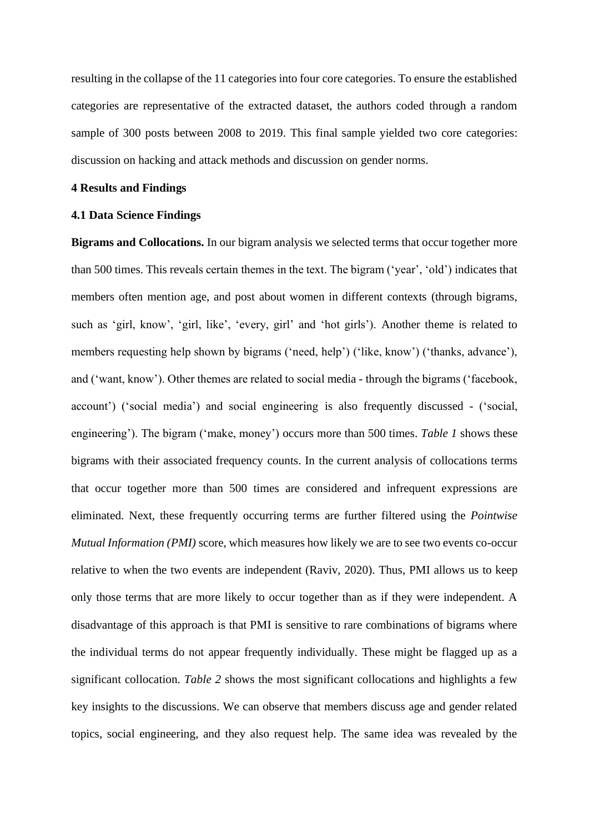resulting in the collapse of the 11 categories into four core categories. To ensure the established categories are representative of the extracted dataset, the authors coded through a random sample of 300 posts between 2008 to 2019. This final sample yielded two core categories: discussion on hacking and attack methods and discussion on gender norms.

#### **4 Results and Findings**

#### **4.1 Data Science Findings**

**Bigrams and Collocations.** In our bigram analysis we selected terms that occur together more than 500 times. This reveals certain themes in the text. The bigram ('year', 'old') indicates that members often mention age, and post about women in different contexts (through bigrams, such as 'girl, know', 'girl, like', 'every, girl' and 'hot girls'). Another theme is related to members requesting help shown by bigrams ('need, help') ('like, know') ('thanks, advance'), and ('want, know'). Other themes are related to social media - through the bigrams ('facebook, account') ('social media') and social engineering is also frequently discussed - ('social, engineering'). The bigram ('make, money') occurs more than 500 times. *Table 1* shows these bigrams with their associated frequency counts. In the current analysis of collocations terms that occur together more than 500 times are considered and infrequent expressions are eliminated. Next, these frequently occurring terms are further filtered using the *Pointwise Mutual Information (PMI)* score, which measures how likely we are to see two events co-occur relative to when the two events are independent (Raviv, 2020). Thus, PMI allows us to keep only those terms that are more likely to occur together than as if they were independent. A disadvantage of this approach is that PMI is sensitive to rare combinations of bigrams where the individual terms do not appear frequently individually. These might be flagged up as a significant collocation. *Table 2* shows the most significant collocations and highlights a few key insights to the discussions. We can observe that members discuss age and gender related topics, social engineering, and they also request help. The same idea was revealed by the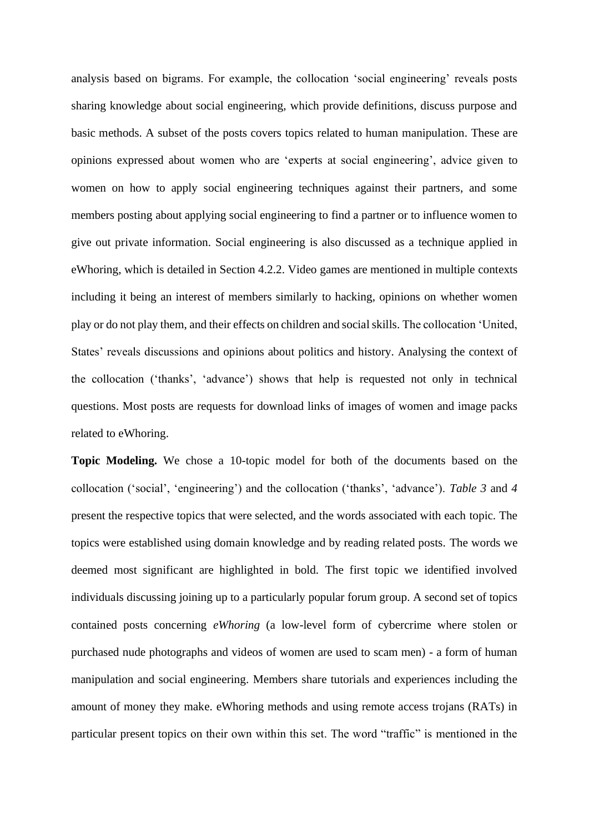analysis based on bigrams. For example, the collocation 'social engineering' reveals posts sharing knowledge about social engineering, which provide definitions, discuss purpose and basic methods. A subset of the posts covers topics related to human manipulation. These are opinions expressed about women who are 'experts at social engineering', advice given to women on how to apply social engineering techniques against their partners, and some members posting about applying social engineering to find a partner or to influence women to give out private information. Social engineering is also discussed as a technique applied in eWhoring, which is detailed in Section 4.2.2. Video games are mentioned in multiple contexts including it being an interest of members similarly to hacking, opinions on whether women play or do not play them, and their effects on children and social skills. The collocation 'United, States' reveals discussions and opinions about politics and history. Analysing the context of the collocation ('thanks', 'advance') shows that help is requested not only in technical questions. Most posts are requests for download links of images of women and image packs related to eWhoring.

**Topic Modeling.** We chose a 10-topic model for both of the documents based on the collocation ('social', 'engineering') and the collocation ('thanks', 'advance'). *Table 3* and *4* present the respective topics that were selected, and the words associated with each topic. The topics were established using domain knowledge and by reading related posts. The words we deemed most significant are highlighted in bold. The first topic we identified involved individuals discussing joining up to a particularly popular forum group. A second set of topics contained posts concerning *eWhoring* (a low-level form of cybercrime where stolen or purchased nude photographs and videos of women are used to scam men) - a form of human manipulation and social engineering. Members share tutorials and experiences including the amount of money they make. eWhoring methods and using remote access trojans (RATs) in particular present topics on their own within this set. The word "traffic" is mentioned in the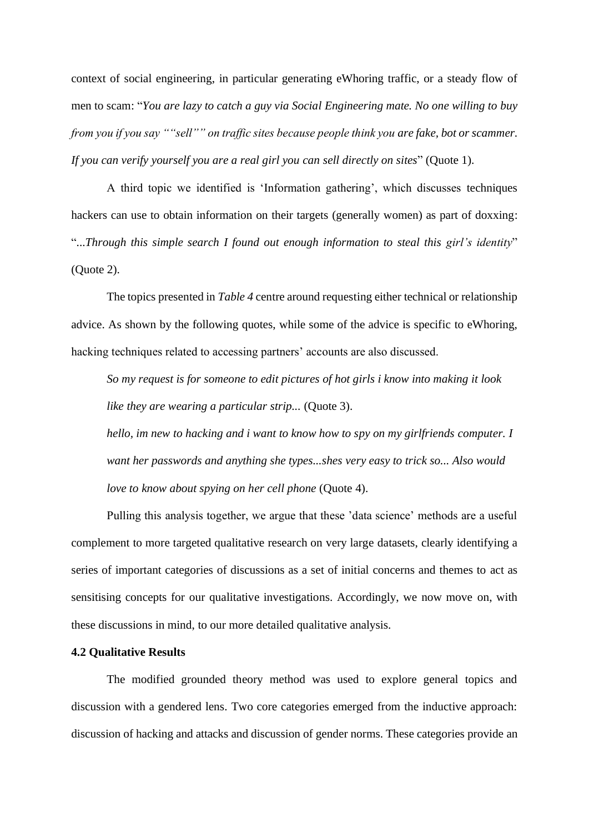context of social engineering, in particular generating eWhoring traffic, or a steady flow of men to scam: "*You are lazy to catch a guy via Social Engineering mate. No one willing to buy from you if you say ""sell"" on traffic sites because people think you are fake, bot or scammer. If you can verify yourself you are a real girl you can sell directly on sites*" (Quote 1).

A third topic we identified is 'Information gathering', which discusses techniques hackers can use to obtain information on their targets (generally women) as part of doxxing: "...*Through this simple search I found out enough information to steal this girl's identity*" (Quote 2).

The topics presented in *Table 4* centre around requesting either technical or relationship advice. As shown by the following quotes, while some of the advice is specific to eWhoring, hacking techniques related to accessing partners' accounts are also discussed.

*So my request is for someone to edit pictures of hot girls i know into making it look like they are wearing a particular strip...* (Ouote 3).

*hello, im new to hacking and i want to know how to spy on my girlfriends computer. I want her passwords and anything she types...shes very easy to trick so... Also would love to know about spying on her cell phone* (Quote 4).

Pulling this analysis together, we argue that these 'data science' methods are a useful complement to more targeted qualitative research on very large datasets, clearly identifying a series of important categories of discussions as a set of initial concerns and themes to act as sensitising concepts for our qualitative investigations. Accordingly, we now move on, with these discussions in mind, to our more detailed qualitative analysis.

#### **4.2 Qualitative Results**

The modified grounded theory method was used to explore general topics and discussion with a gendered lens. Two core categories emerged from the inductive approach: discussion of hacking and attacks and discussion of gender norms. These categories provide an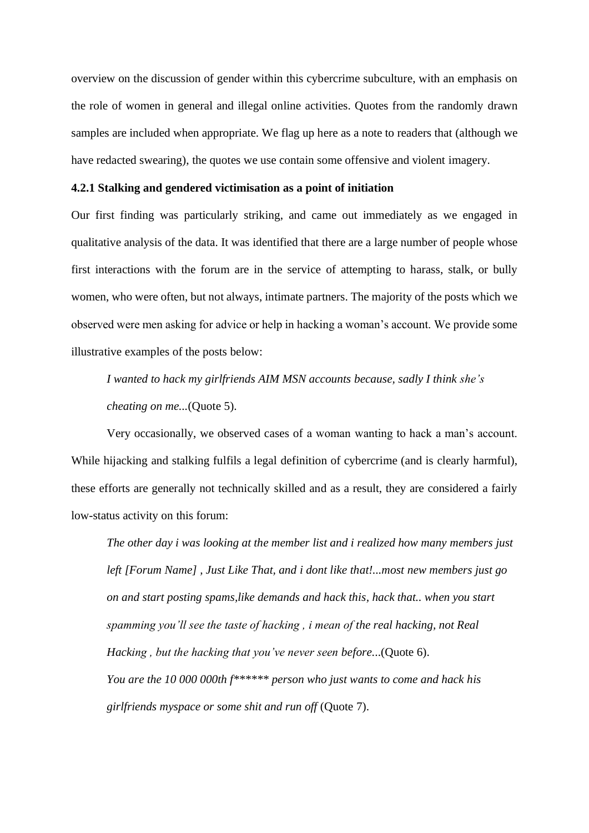overview on the discussion of gender within this cybercrime subculture, with an emphasis on the role of women in general and illegal online activities. Quotes from the randomly drawn samples are included when appropriate. We flag up here as a note to readers that (although we have redacted swearing), the quotes we use contain some offensive and violent imagery.

### **4.2.1 Stalking and gendered victimisation as a point of initiation**

Our first finding was particularly striking, and came out immediately as we engaged in qualitative analysis of the data. It was identified that there are a large number of people whose first interactions with the forum are in the service of attempting to harass, stalk, or bully women, who were often, but not always, intimate partners. The majority of the posts which we observed were men asking for advice or help in hacking a woman's account. We provide some illustrative examples of the posts below:

*I wanted to hack my girlfriends AIM MSN accounts because, sadly I think she's cheating on me...*(Quote 5).

Very occasionally, we observed cases of a woman wanting to hack a man's account. While hijacking and stalking fulfils a legal definition of cybercrime (and is clearly harmful), these efforts are generally not technically skilled and as a result, they are considered a fairly low-status activity on this forum:

*The other day i was looking at the member list and i realized how many members just left [Forum Name] , Just Like That, and i dont like that!...most new members just go on and start posting spams,like demands and hack this, hack that.. when you start spamming you'll see the taste of hacking , i mean of the real hacking, not Real Hacking , but the hacking that you've never seen before.*..(Quote 6). *You are the 10 000 000th f\*\*\*\*\*\* person who just wants to come and hack his girlfriends myspace or some shit and run off* (Quote 7).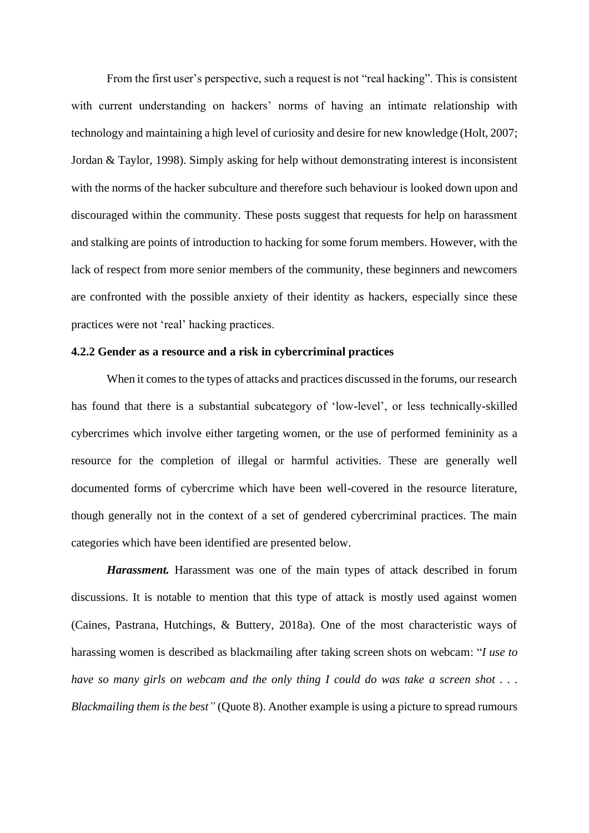From the first user's perspective, such a request is not "real hacking". This is consistent with current understanding on hackers' norms of having an intimate relationship with technology and maintaining a high level of curiosity and desire for new knowledge (Holt, 2007; Jordan & Taylor, 1998). Simply asking for help without demonstrating interest is inconsistent with the norms of the hacker subculture and therefore such behaviour is looked down upon and discouraged within the community. These posts suggest that requests for help on harassment and stalking are points of introduction to hacking for some forum members. However, with the lack of respect from more senior members of the community, these beginners and newcomers are confronted with the possible anxiety of their identity as hackers, especially since these practices were not 'real' hacking practices.

## **4.2.2 Gender as a resource and a risk in cybercriminal practices**

When it comes to the types of attacks and practices discussed in the forums, our research has found that there is a substantial subcategory of 'low-level', or less technically-skilled cybercrimes which involve either targeting women, or the use of performed femininity as a resource for the completion of illegal or harmful activities. These are generally well documented forms of cybercrime which have been well-covered in the resource literature, though generally not in the context of a set of gendered cybercriminal practices. The main categories which have been identified are presented below.

*Harassment.* Harassment was one of the main types of attack described in forum discussions. It is notable to mention that this type of attack is mostly used against women (Caines, Pastrana, Hutchings, & Buttery, 2018a). One of the most characteristic ways of harassing women is described as blackmailing after taking screen shots on webcam: "*I use to have so many girls on webcam and the only thing I could do was take a screen shot . . . Blackmailing them is the best"* (Quote 8). Another example is using a picture to spread rumours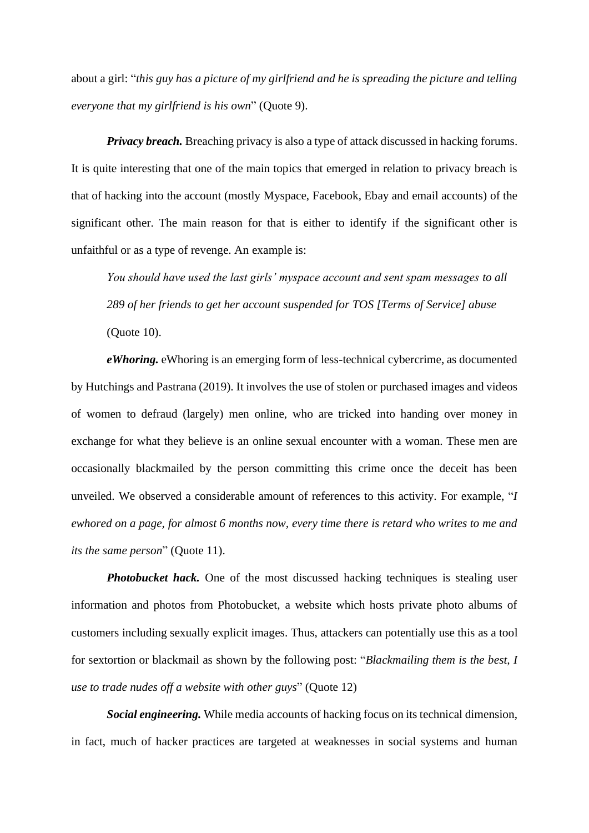about a girl: "*this guy has a picture of my girlfriend and he is spreading the picture and telling everyone that my girlfriend is his own*" (Quote 9).

*Privacy breach.* Breaching privacy is also a type of attack discussed in hacking forums. It is quite interesting that one of the main topics that emerged in relation to privacy breach is that of hacking into the account (mostly Myspace, Facebook, Ebay and email accounts) of the significant other. The main reason for that is either to identify if the significant other is unfaithful or as a type of revenge. An example is:

*You should have used the last girls' myspace account and sent spam messages to all 289 of her friends to get her account suspended for TOS [Terms of Service] abuse* (Quote 10).

*eWhoring.* eWhoring is an emerging form of less-technical cybercrime, as documented by Hutchings and Pastrana (2019). It involves the use of stolen or purchased images and videos of women to defraud (largely) men online, who are tricked into handing over money in exchange for what they believe is an online sexual encounter with a woman. These men are occasionally blackmailed by the person committing this crime once the deceit has been unveiled. We observed a considerable amount of references to this activity. For example, "*I ewhored on a page, for almost 6 months now, every time there is retard who writes to me and its the same person*" (Quote 11).

**Photobucket hack.** One of the most discussed hacking techniques is stealing user information and photos from Photobucket, a website which hosts private photo albums of customers including sexually explicit images. Thus, attackers can potentially use this as a tool for sextortion or blackmail as shown by the following post: "*Blackmailing them is the best, I use to trade nudes off a website with other guys*" (Quote 12)

*Social engineering.* While media accounts of hacking focus on its technical dimension, in fact, much of hacker practices are targeted at weaknesses in social systems and human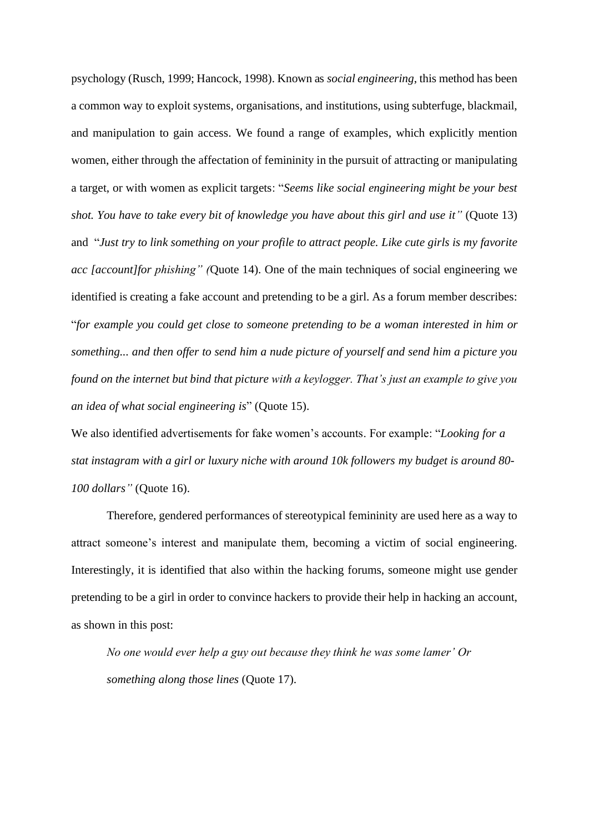psychology (Rusch, 1999; Hancock, 1998). Known as *social engineering*, this method has been a common way to exploit systems, organisations, and institutions, using subterfuge, blackmail, and manipulation to gain access. We found a range of examples, which explicitly mention women, either through the affectation of femininity in the pursuit of attracting or manipulating a target, or with women as explicit targets: "*Seems like social engineering might be your best shot. You have to take every bit of knowledge you have about this girl and use it"* (Quote 13) and "*Just try to link something on your profile to attract people. Like cute girls is my favorite acc [account]for phishing" (*Quote 14). One of the main techniques of social engineering we identified is creating a fake account and pretending to be a girl. As a forum member describes: "*for example you could get close to someone pretending to be a woman interested in him or something... and then offer to send him a nude picture of yourself and send him a picture you found on the internet but bind that picture with a keylogger. That's just an example to give you an idea of what social engineering is*" (Quote 15).

We also identified advertisements for fake women's accounts. For example: "*Looking for a stat instagram with a girl or luxury niche with around 10k followers my budget is around 80- 100 dollars"* (Quote 16).

Therefore, gendered performances of stereotypical femininity are used here as a way to attract someone's interest and manipulate them, becoming a victim of social engineering. Interestingly, it is identified that also within the hacking forums, someone might use gender pretending to be a girl in order to convince hackers to provide their help in hacking an account, as shown in this post:

*No one would ever help a guy out because they think he was some lamer' Or something along those lines* (Quote 17).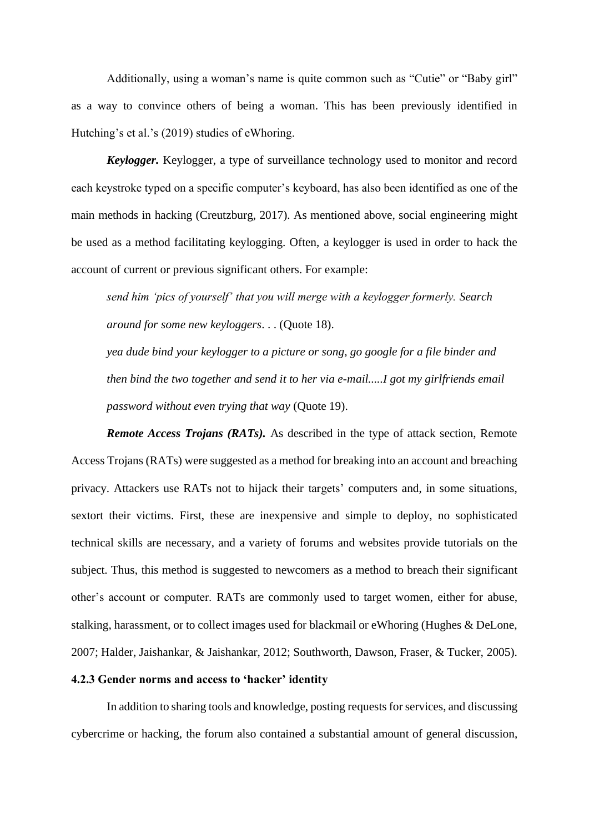Additionally, using a woman's name is quite common such as "Cutie" or "Baby girl" as a way to convince others of being a woman. This has been previously identified in Hutching's et al.'s (2019) studies of eWhoring.

*Keylogger.* Keylogger, a type of surveillance technology used to monitor and record each keystroke typed on a specific computer's keyboard, has also been identified as one of the main methods in hacking (Creutzburg, 2017). As mentioned above, social engineering might be used as a method facilitating keylogging. Often, a keylogger is used in order to hack the account of current or previous significant others. For example:

*send him 'pics of yourself' that you will merge with a keylogger formerly. Search around for some new keyloggers*. . . (Quote 18).

*yea dude bind your keylogger to a picture or song, go google for a file binder and then bind the two together and send it to her via e-mail.....I got my girlfriends email password without even trying that way* (Quote 19).

*Remote Access Trojans (RATs).* As described in the type of attack section, Remote Access Trojans (RATs) were suggested as a method for breaking into an account and breaching privacy. Attackers use RATs not to hijack their targets' computers and, in some situations, sextort their victims. First, these are inexpensive and simple to deploy, no sophisticated technical skills are necessary, and a variety of forums and websites provide tutorials on the subject. Thus, this method is suggested to newcomers as a method to breach their significant other's account or computer. RATs are commonly used to target women, either for abuse, stalking, harassment, or to collect images used for blackmail or eWhoring (Hughes & DeLone, 2007; Halder, Jaishankar, & Jaishankar, 2012; Southworth, Dawson, Fraser, & Tucker, 2005).

### **4.2.3 Gender norms and access to 'hacker' identity**

In addition to sharing tools and knowledge, posting requests for services, and discussing cybercrime or hacking, the forum also contained a substantial amount of general discussion,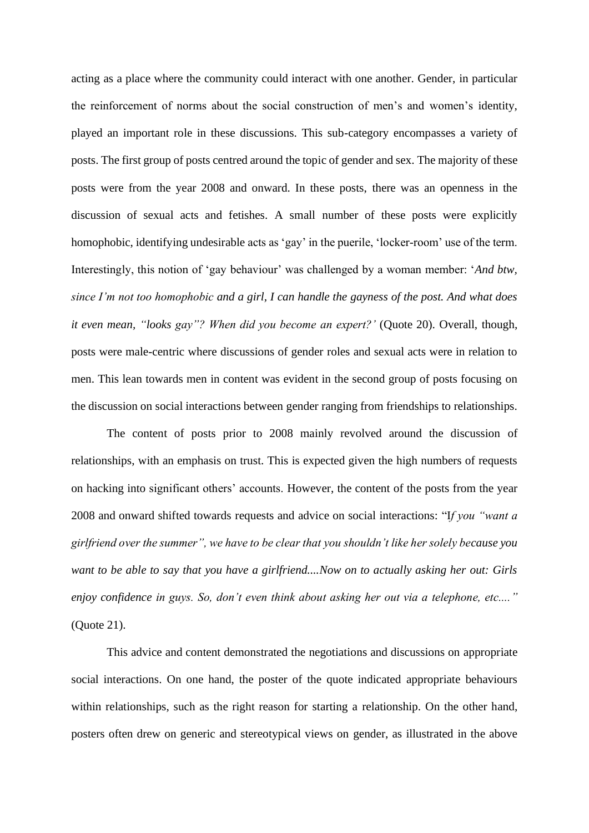acting as a place where the community could interact with one another. Gender, in particular the reinforcement of norms about the social construction of men's and women's identity, played an important role in these discussions. This sub-category encompasses a variety of posts. The first group of posts centred around the topic of gender and sex. The majority of these posts were from the year 2008 and onward. In these posts, there was an openness in the discussion of sexual acts and fetishes. A small number of these posts were explicitly homophobic, identifying undesirable acts as 'gay' in the puerile, 'locker-room' use of the term. Interestingly, this notion of 'gay behaviour' was challenged by a woman member: '*And btw, since I'm not too homophobic and a girl, I can handle the gayness of the post. And what does it even mean, "looks gay"? When did you become an expert?'* (Quote 20). Overall, though, posts were male-centric where discussions of gender roles and sexual acts were in relation to men. This lean towards men in content was evident in the second group of posts focusing on the discussion on social interactions between gender ranging from friendships to relationships.

The content of posts prior to 2008 mainly revolved around the discussion of relationships, with an emphasis on trust. This is expected given the high numbers of requests on hacking into significant others' accounts. However, the content of the posts from the year 2008 and onward shifted towards requests and advice on social interactions: "I*f you "want a girlfriend over the summer", we have to be clear that you shouldn't like her solely because you want to be able to say that you have a girlfriend....Now on to actually asking her out: Girls enjoy confidence in guys. So, don't even think about asking her out via a telephone, etc...."* (Quote 21).

This advice and content demonstrated the negotiations and discussions on appropriate social interactions. On one hand, the poster of the quote indicated appropriate behaviours within relationships, such as the right reason for starting a relationship. On the other hand, posters often drew on generic and stereotypical views on gender, as illustrated in the above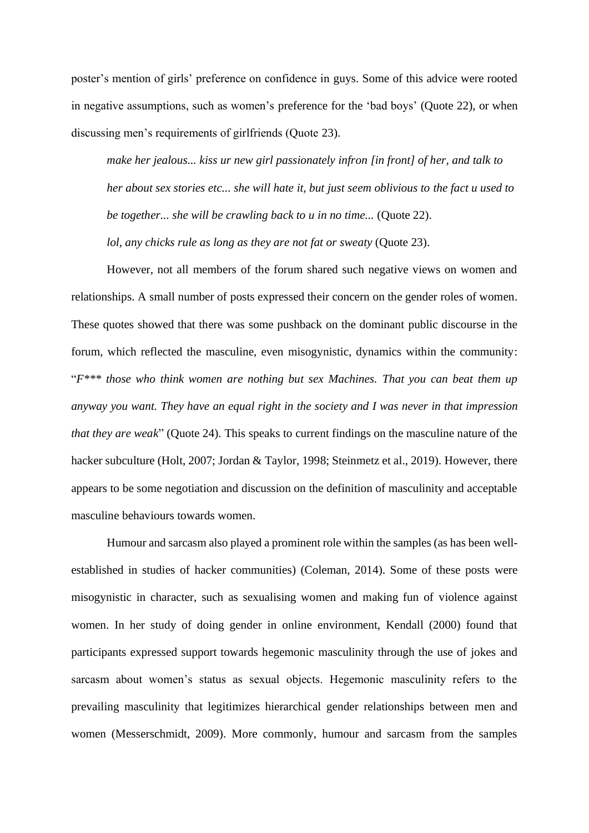poster's mention of girls' preference on confidence in guys. Some of this advice were rooted in negative assumptions, such as women's preference for the 'bad boys' (Quote 22), or when discussing men's requirements of girlfriends (Quote 23).

*make her jealous... kiss ur new girl passionately infron [in front] of her, and talk to her about sex stories etc... she will hate it, but just seem oblivious to the fact u used to be together... she will be crawling back to u in no time...* (Quote 22).

*lol, any chicks rule as long as they are not fat or sweaty* (Quote 23).

However, not all members of the forum shared such negative views on women and relationships. A small number of posts expressed their concern on the gender roles of women. These quotes showed that there was some pushback on the dominant public discourse in the forum, which reflected the masculine, even misogynistic, dynamics within the community: "*F\*\*\* those who think women are nothing but sex Machines. That you can beat them up anyway you want. They have an equal right in the society and I was never in that impression that they are weak*" (Quote 24). This speaks to current findings on the masculine nature of the hacker subculture (Holt, 2007; Jordan & Taylor, 1998; Steinmetz et al., 2019). However, there appears to be some negotiation and discussion on the definition of masculinity and acceptable masculine behaviours towards women.

Humour and sarcasm also played a prominent role within the samples (as has been wellestablished in studies of hacker communities) (Coleman, 2014). Some of these posts were misogynistic in character, such as sexualising women and making fun of violence against women. In her study of doing gender in online environment, Kendall (2000) found that participants expressed support towards hegemonic masculinity through the use of jokes and sarcasm about women's status as sexual objects. Hegemonic masculinity refers to the prevailing masculinity that legitimizes hierarchical gender relationships between men and women (Messerschmidt, 2009). More commonly, humour and sarcasm from the samples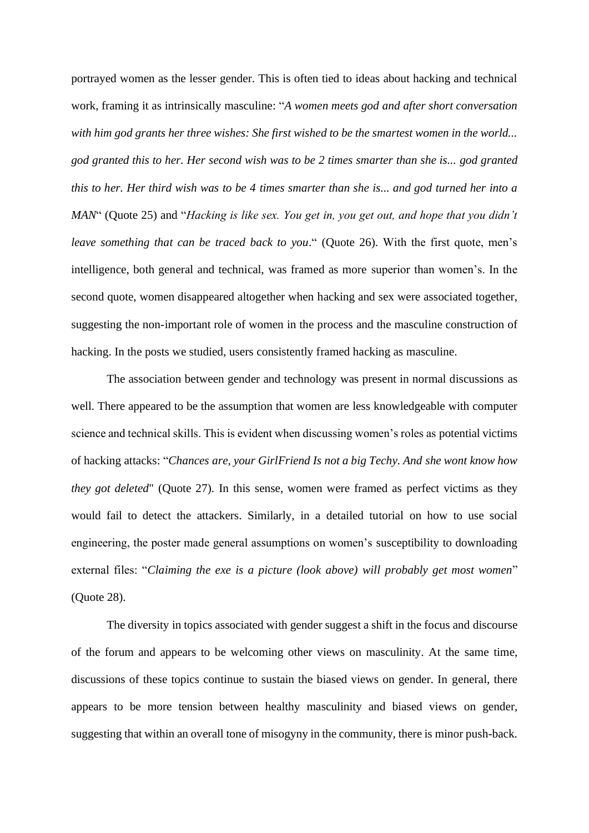portrayed women as the lesser gender. This is often tied to ideas about hacking and technical work, framing it as intrinsically masculine: "*A women meets god and after short conversation with him god grants her three wishes: She first wished to be the smartest women in the world... god granted this to her. Her second wish was to be 2 times smarter than she is... god granted this to her. Her third wish was to be 4 times smarter than she is... and god turned her into a MAN*" (Quote 25) and "*Hacking is like sex. You get in, you get out, and hope that you didn't leave something that can be traced back to you*." (Quote 26). With the first quote, men's intelligence, both general and technical, was framed as more superior than women's. In the second quote, women disappeared altogether when hacking and sex were associated together, suggesting the non-important role of women in the process and the masculine construction of hacking. In the posts we studied, users consistently framed hacking as masculine.

The association between gender and technology was present in normal discussions as well. There appeared to be the assumption that women are less knowledgeable with computer science and technical skills. This is evident when discussing women's roles as potential victims of hacking attacks: "*Chances are, your GirlFriend Is not a big Techy. And she wont know how they got deleted*" (Quote 27). In this sense, women were framed as perfect victims as they would fail to detect the attackers. Similarly, in a detailed tutorial on how to use social engineering, the poster made general assumptions on women's susceptibility to downloading external files: "*Claiming the exe is a picture (look above) will probably get most women*" (Quote 28).

The diversity in topics associated with gender suggest a shift in the focus and discourse of the forum and appears to be welcoming other views on masculinity. At the same time, discussions of these topics continue to sustain the biased views on gender. In general, there appears to be more tension between healthy masculinity and biased views on gender, suggesting that within an overall tone of misogyny in the community, there is minor push-back.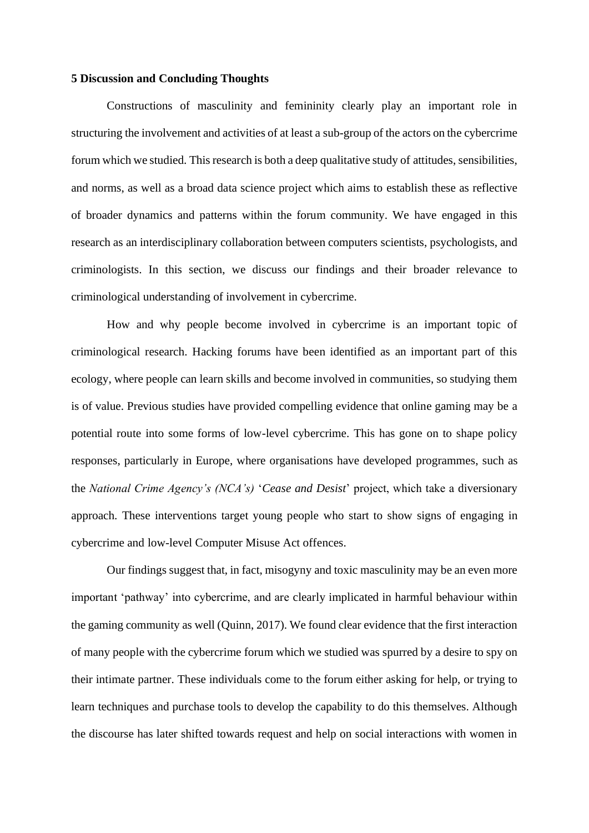### **5 Discussion and Concluding Thoughts**

Constructions of masculinity and femininity clearly play an important role in structuring the involvement and activities of at least a sub-group of the actors on the cybercrime forum which we studied. This research is both a deep qualitative study of attitudes, sensibilities, and norms, as well as a broad data science project which aims to establish these as reflective of broader dynamics and patterns within the forum community. We have engaged in this research as an interdisciplinary collaboration between computers scientists, psychologists, and criminologists. In this section, we discuss our findings and their broader relevance to criminological understanding of involvement in cybercrime.

How and why people become involved in cybercrime is an important topic of criminological research. Hacking forums have been identified as an important part of this ecology, where people can learn skills and become involved in communities, so studying them is of value. Previous studies have provided compelling evidence that online gaming may be a potential route into some forms of low-level cybercrime. This has gone on to shape policy responses, particularly in Europe, where organisations have developed programmes, such as the *National Crime Agency's (NCA's)* '*Cease and Desist*' project, which take a diversionary approach. These interventions target young people who start to show signs of engaging in cybercrime and low-level Computer Misuse Act offences.

Our findings suggest that, in fact, misogyny and toxic masculinity may be an even more important 'pathway' into cybercrime, and are clearly implicated in harmful behaviour within the gaming community as well (Quinn, 2017). We found clear evidence that the first interaction of many people with the cybercrime forum which we studied was spurred by a desire to spy on their intimate partner. These individuals come to the forum either asking for help, or trying to learn techniques and purchase tools to develop the capability to do this themselves. Although the discourse has later shifted towards request and help on social interactions with women in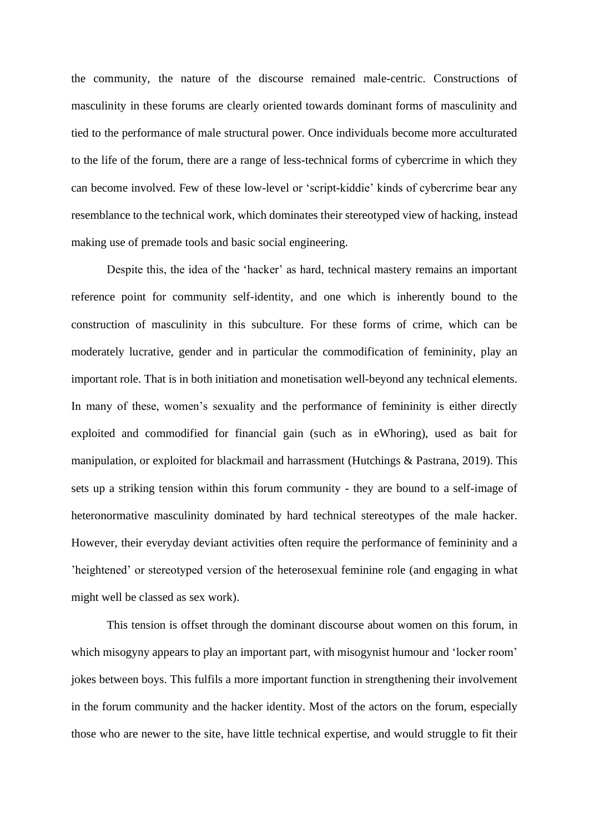the community, the nature of the discourse remained male-centric. Constructions of masculinity in these forums are clearly oriented towards dominant forms of masculinity and tied to the performance of male structural power. Once individuals become more acculturated to the life of the forum, there are a range of less-technical forms of cybercrime in which they can become involved. Few of these low-level or 'script-kiddie' kinds of cybercrime bear any resemblance to the technical work, which dominates their stereotyped view of hacking, instead making use of premade tools and basic social engineering.

Despite this, the idea of the 'hacker' as hard, technical mastery remains an important reference point for community self-identity, and one which is inherently bound to the construction of masculinity in this subculture. For these forms of crime, which can be moderately lucrative, gender and in particular the commodification of femininity, play an important role. That is in both initiation and monetisation well-beyond any technical elements. In many of these, women's sexuality and the performance of femininity is either directly exploited and commodified for financial gain (such as in eWhoring), used as bait for manipulation, or exploited for blackmail and harrassment (Hutchings & Pastrana, 2019). This sets up a striking tension within this forum community - they are bound to a self-image of heteronormative masculinity dominated by hard technical stereotypes of the male hacker. However, their everyday deviant activities often require the performance of femininity and a 'heightened' or stereotyped version of the heterosexual feminine role (and engaging in what might well be classed as sex work).

This tension is offset through the dominant discourse about women on this forum, in which misogyny appears to play an important part, with misogynist humour and 'locker room' jokes between boys. This fulfils a more important function in strengthening their involvement in the forum community and the hacker identity. Most of the actors on the forum, especially those who are newer to the site, have little technical expertise, and would struggle to fit their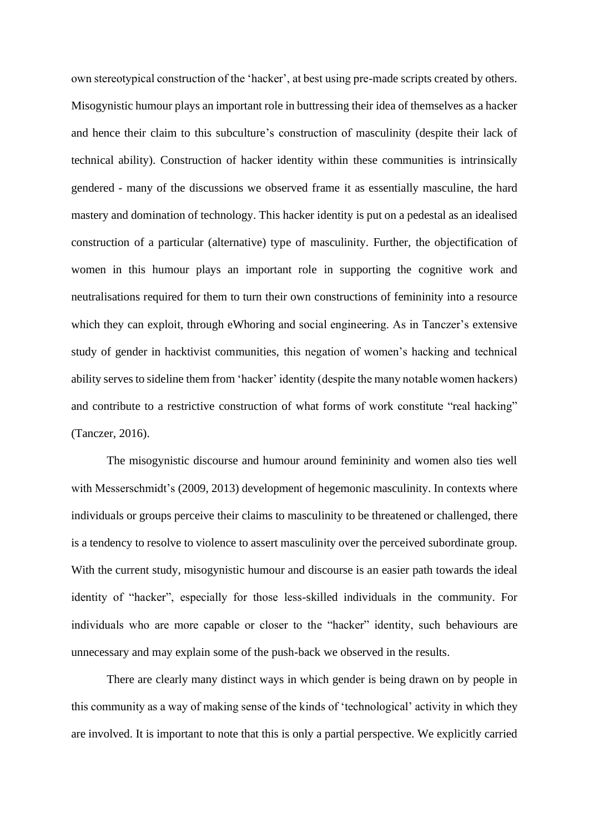own stereotypical construction of the 'hacker', at best using pre-made scripts created by others. Misogynistic humour plays an important role in buttressing their idea of themselves as a hacker and hence their claim to this subculture's construction of masculinity (despite their lack of technical ability). Construction of hacker identity within these communities is intrinsically gendered - many of the discussions we observed frame it as essentially masculine, the hard mastery and domination of technology. This hacker identity is put on a pedestal as an idealised construction of a particular (alternative) type of masculinity. Further, the objectification of women in this humour plays an important role in supporting the cognitive work and neutralisations required for them to turn their own constructions of femininity into a resource which they can exploit, through eWhoring and social engineering. As in Tanczer's extensive study of gender in hacktivist communities, this negation of women's hacking and technical ability serves to sideline them from 'hacker' identity (despite the many notable women hackers) and contribute to a restrictive construction of what forms of work constitute "real hacking" (Tanczer, 2016).

The misogynistic discourse and humour around femininity and women also ties well with Messerschmidt's (2009, 2013) development of hegemonic masculinity. In contexts where individuals or groups perceive their claims to masculinity to be threatened or challenged, there is a tendency to resolve to violence to assert masculinity over the perceived subordinate group. With the current study, misogynistic humour and discourse is an easier path towards the ideal identity of "hacker", especially for those less-skilled individuals in the community. For individuals who are more capable or closer to the "hacker" identity, such behaviours are unnecessary and may explain some of the push-back we observed in the results.

There are clearly many distinct ways in which gender is being drawn on by people in this community as a way of making sense of the kinds of 'technological' activity in which they are involved. It is important to note that this is only a partial perspective. We explicitly carried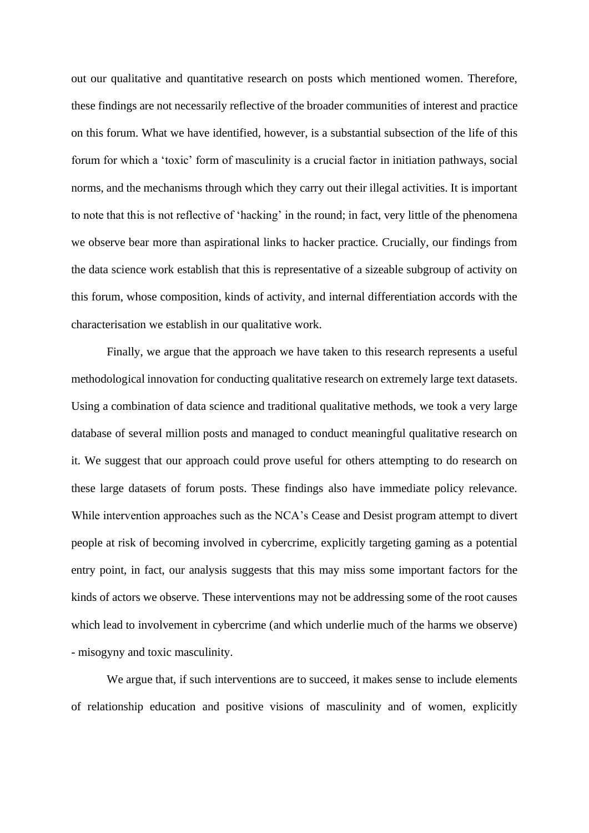out our qualitative and quantitative research on posts which mentioned women. Therefore, these findings are not necessarily reflective of the broader communities of interest and practice on this forum. What we have identified, however, is a substantial subsection of the life of this forum for which a 'toxic' form of masculinity is a crucial factor in initiation pathways, social norms, and the mechanisms through which they carry out their illegal activities. It is important to note that this is not reflective of 'hacking' in the round; in fact, very little of the phenomena we observe bear more than aspirational links to hacker practice. Crucially, our findings from the data science work establish that this is representative of a sizeable subgroup of activity on this forum, whose composition, kinds of activity, and internal differentiation accords with the characterisation we establish in our qualitative work.

Finally, we argue that the approach we have taken to this research represents a useful methodological innovation for conducting qualitative research on extremely large text datasets. Using a combination of data science and traditional qualitative methods, we took a very large database of several million posts and managed to conduct meaningful qualitative research on it. We suggest that our approach could prove useful for others attempting to do research on these large datasets of forum posts. These findings also have immediate policy relevance. While intervention approaches such as the NCA's Cease and Desist program attempt to divert people at risk of becoming involved in cybercrime, explicitly targeting gaming as a potential entry point, in fact, our analysis suggests that this may miss some important factors for the kinds of actors we observe. These interventions may not be addressing some of the root causes which lead to involvement in cybercrime (and which underlie much of the harms we observe) - misogyny and toxic masculinity.

We argue that, if such interventions are to succeed, it makes sense to include elements of relationship education and positive visions of masculinity and of women, explicitly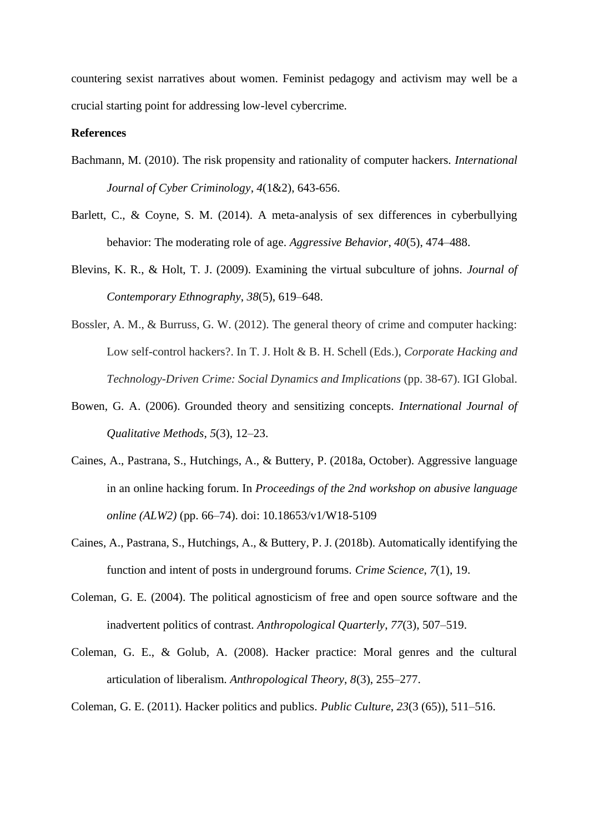countering sexist narratives about women. Feminist pedagogy and activism may well be a crucial starting point for addressing low-level cybercrime.

## **References**

- Bachmann, M. (2010). The risk propensity and rationality of computer hackers. *International Journal of Cyber Criminology*, *4*(1&2), 643-656.
- Barlett, C., & Coyne, S. M. (2014). A meta-analysis of sex differences in cyberbullying behavior: The moderating role of age. *Aggressive Behavior*, *40*(5), 474–488.
- Blevins, K. R., & Holt, T. J. (2009). Examining the virtual subculture of johns. *Journal of Contemporary Ethnography*, *38*(5), 619–648.
- Bossler, A. M., & Burruss, G. W. (2012). The general theory of crime and computer hacking: Low self-control hackers?. In T. J. Holt & B. H. Schell (Eds.), *Corporate Hacking and Technology-Driven Crime: Social Dynamics and Implications* (pp. 38-67). IGI Global.
- Bowen, G. A. (2006). Grounded theory and sensitizing concepts. *International Journal of Qualitative Methods*, *5*(3), 12–23.
- Caines, A., Pastrana, S., Hutchings, A., & Buttery, P. (2018a, October). Aggressive language in an online hacking forum. In *Proceedings of the 2nd workshop on abusive language online (ALW2)* (pp. 66–74). doi: 10.18653/v1/W18-5109
- Caines, A., Pastrana, S., Hutchings, A., & Buttery, P. J. (2018b). Automatically identifying the function and intent of posts in underground forums. *Crime Science*, *7*(1), 19.
- Coleman, G. E. (2004). The political agnosticism of free and open source software and the inadvertent politics of contrast. *Anthropological Quarterly*, *77*(3), 507–519.
- Coleman, G. E., & Golub, A. (2008). Hacker practice: Moral genres and the cultural articulation of liberalism. *Anthropological Theory*, *8*(3), 255–277.
- Coleman, G. E. (2011). Hacker politics and publics. *Public Culture*, *23*(3 (65)), 511–516.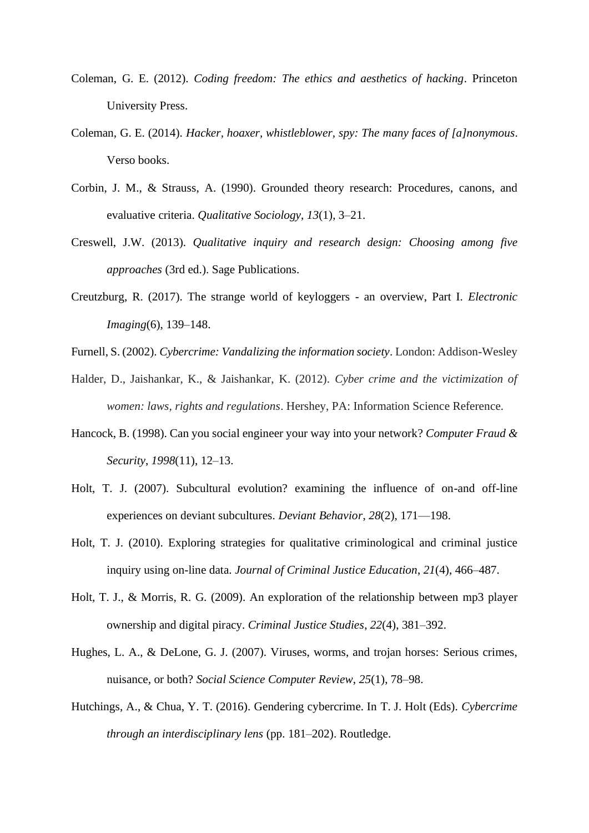- Coleman, G. E. (2012). *Coding freedom: The ethics and aesthetics of hacking*. Princeton University Press.
- Coleman, G. E. (2014). *Hacker, hoaxer, whistleblower, spy: The many faces of [a]nonymous*. Verso books.
- Corbin, J. M., & Strauss, A. (1990). Grounded theory research: Procedures, canons, and evaluative criteria. *Qualitative Sociology*, *13*(1), 3–21.
- Creswell, J.W. (2013). *Qualitative inquiry and research design: Choosing among five approaches* (3rd ed.). Sage Publications.
- Creutzburg, R. (2017). The strange world of keyloggers an overview, Part I. *Electronic Imaging*(6), 139–148.
- Furnell, S. (2002). *Cybercrime: Vandalizing the information society*. London: Addison-Wesley
- Halder, D., Jaishankar, K., & Jaishankar, K. (2012). *Cyber crime and the victimization of women: laws, rights and regulations*. Hershey, PA: Information Science Reference.
- Hancock, B. (1998). Can you social engineer your way into your network? *Computer Fraud & Security*, *1998*(11), 12–13.
- Holt, T. J. (2007). Subcultural evolution? examining the influence of on-and off-line experiences on deviant subcultures. *Deviant Behavior*, *28*(2), 171—198.
- Holt, T. J. (2010). Exploring strategies for qualitative criminological and criminal justice inquiry using on-line data. *Journal of Criminal Justice Education*, *21*(4), 466–487.
- Holt, T. J., & Morris, R. G. (2009). An exploration of the relationship between mp3 player ownership and digital piracy. *Criminal Justice Studies*, *22*(4), 381–392.
- Hughes, L. A., & DeLone, G. J. (2007). Viruses, worms, and trojan horses: Serious crimes, nuisance, or both? *Social Science Computer Review*, *25*(1), 78–98.
- Hutchings, A., & Chua, Y. T. (2016). Gendering cybercrime. In T. J. Holt (Eds). *Cybercrime through an interdisciplinary lens* (pp. 181–202). Routledge.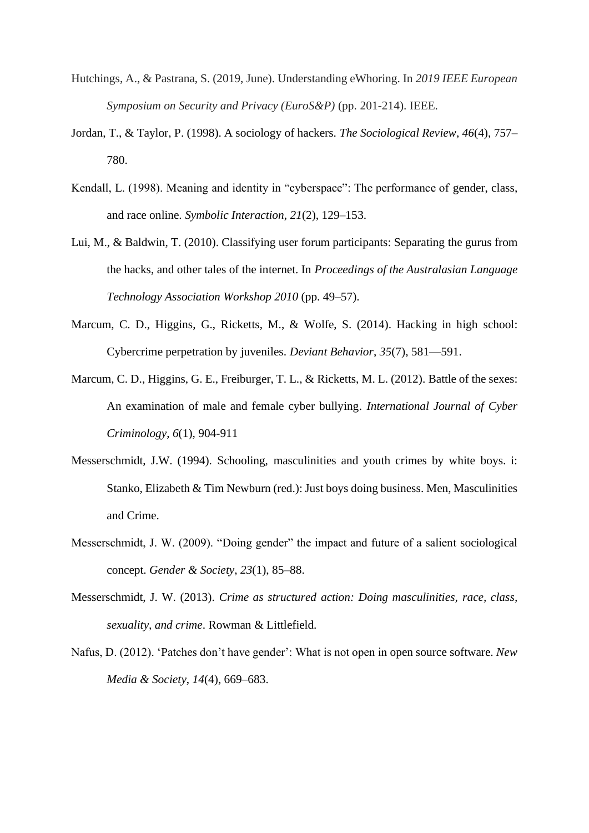- Hutchings, A., & Pastrana, S. (2019, June). Understanding eWhoring. In *2019 IEEE European Symposium on Security and Privacy (EuroS&P)* (pp. 201-214). IEEE.
- Jordan, T., & Taylor, P. (1998). A sociology of hackers. *The Sociological Review*, *46*(4), 757– 780.
- Kendall, L. (1998). Meaning and identity in "cyberspace": The performance of gender, class, and race online. *Symbolic Interaction*, *21*(2), 129–153.
- Lui, M., & Baldwin, T. (2010). Classifying user forum participants: Separating the gurus from the hacks, and other tales of the internet. In *Proceedings of the Australasian Language Technology Association Workshop 2010* (pp. 49–57).
- Marcum, C. D., Higgins, G., Ricketts, M., & Wolfe, S. (2014). Hacking in high school: Cybercrime perpetration by juveniles. *Deviant Behavior*, *35*(7), 581—591.
- Marcum, C. D., Higgins, G. E., Freiburger, T. L., & Ricketts, M. L. (2012). Battle of the sexes: An examination of male and female cyber bullying. *International Journal of Cyber Criminology*, *6*(1), 904-911
- Messerschmidt, J.W. (1994). Schooling, masculinities and youth crimes by white boys. i: Stanko, Elizabeth & Tim Newburn (red.): Just boys doing business. Men, Masculinities and Crime.
- Messerschmidt, J. W. (2009). "Doing gender" the impact and future of a salient sociological concept. *Gender & Society*, *23*(1), 85–88.
- Messerschmidt, J. W. (2013). *Crime as structured action: Doing masculinities, race, class, sexuality, and crime*. Rowman & Littlefield.
- Nafus, D. (2012). 'Patches don't have gender': What is not open in open source software. *New Media & Society*, *14*(4), 669–683.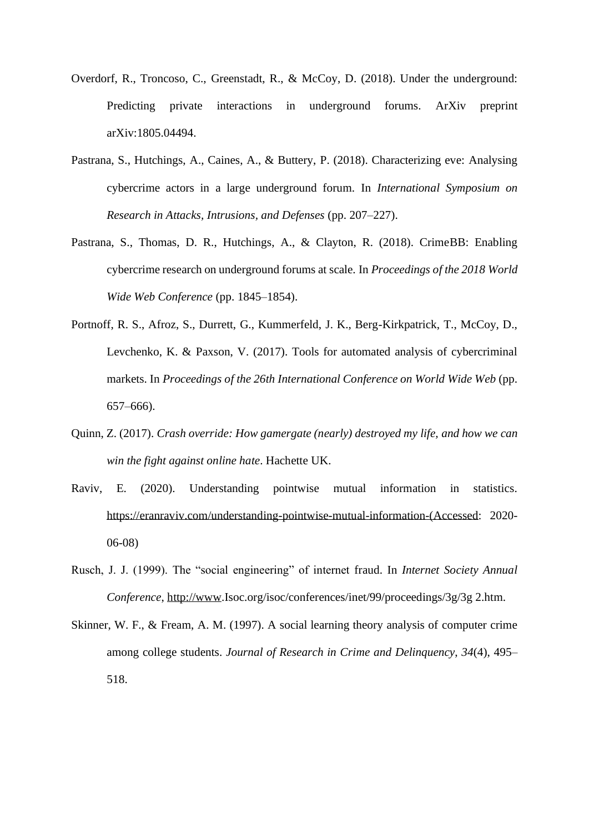- Overdorf, R., Troncoso, C., Greenstadt, R., & McCoy, D. (2018). Under the underground: Predicting private interactions in underground forums. ArXiv preprint arXiv:1805.04494.
- Pastrana, S., Hutchings, A., Caines, A., & Buttery, P. (2018). Characterizing eve: Analysing cybercrime actors in a large underground forum. In *International Symposium on Research in Attacks, Intrusions, and Defenses* (pp. 207–227).
- Pastrana, S., Thomas, D. R., Hutchings, A., & Clayton, R. (2018). CrimeBB: Enabling cybercrime research on underground forums at scale. In *Proceedings of the 2018 World Wide Web Conference* (pp. 1845–1854).
- Portnoff, R. S., Afroz, S., Durrett, G., Kummerfeld, J. K., Berg-Kirkpatrick, T., McCoy, D., Levchenko, K. & Paxson, V. (2017). Tools for automated analysis of cybercriminal markets. In *Proceedings of the 26th International Conference on World Wide Web* (pp. 657–666).
- Quinn, Z. (2017). *Crash override: How gamergate (nearly) destroyed my life, and how we can win the fight against online hate*. Hachette UK.
- Raviv, E. (2020). Understanding pointwise mutual information in statistics. [https://eranraviv.com/understanding-pointwise-mutual-information-\(Accessed:](https://eranraviv.com/understanding-pointwise-mutual-information-(Accessed) 2020- 06-08)
- Rusch, J. J. (1999). The "social engineering" of internet fraud. In *Internet Society Annual Conference*, [http://www.](http://www/)Isoc.org/isoc/conferences/inet/99/proceedings/3g/3g 2.htm.
- Skinner, W. F., & Fream, A. M. (1997). A social learning theory analysis of computer crime among college students. *Journal of Research in Crime and Delinquency*, *34*(4), 495– 518.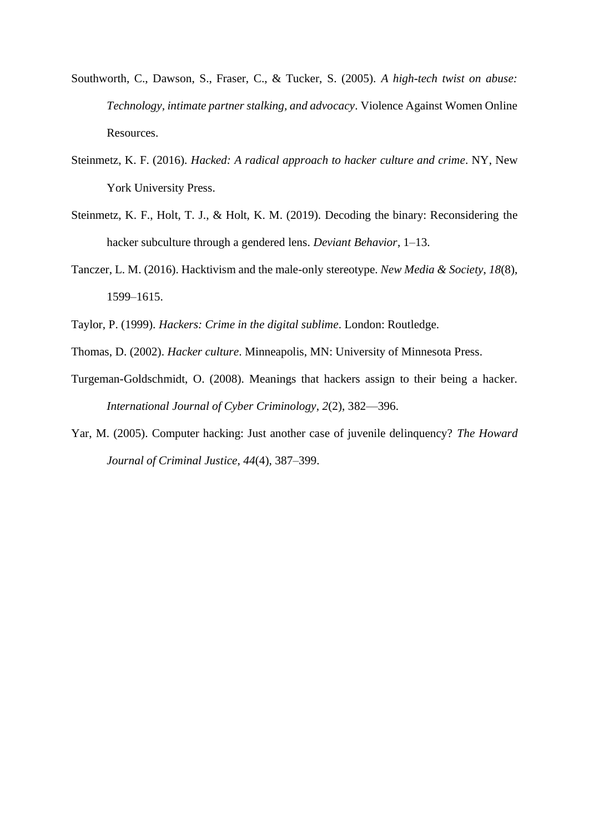- Southworth, C., Dawson, S., Fraser, C., & Tucker, S. (2005). *A high-tech twist on abuse: Technology, intimate partner stalking, and advocacy*. Violence Against Women Online Resources.
- Steinmetz, K. F. (2016). *Hacked: A radical approach to hacker culture and crime*. NY, New York University Press.
- Steinmetz, K. F., Holt, T. J., & Holt, K. M. (2019). Decoding the binary: Reconsidering the hacker subculture through a gendered lens. *Deviant Behavior*, 1–13.
- Tanczer, L. M. (2016). Hacktivism and the male-only stereotype. *New Media & Society*, *18*(8), 1599–1615.
- Taylor, P. (1999). *Hackers: Crime in the digital sublime*. London: Routledge.
- Thomas, D. (2002). *Hacker culture*. Minneapolis, MN: University of Minnesota Press.
- Turgeman-Goldschmidt, O. (2008). Meanings that hackers assign to their being a hacker. *International Journal of Cyber Criminology*, *2*(2), 382—396.
- Yar, M. (2005). Computer hacking: Just another case of juvenile delinquency? *The Howard Journal of Criminal Justice*, *44*(4), 387–399.